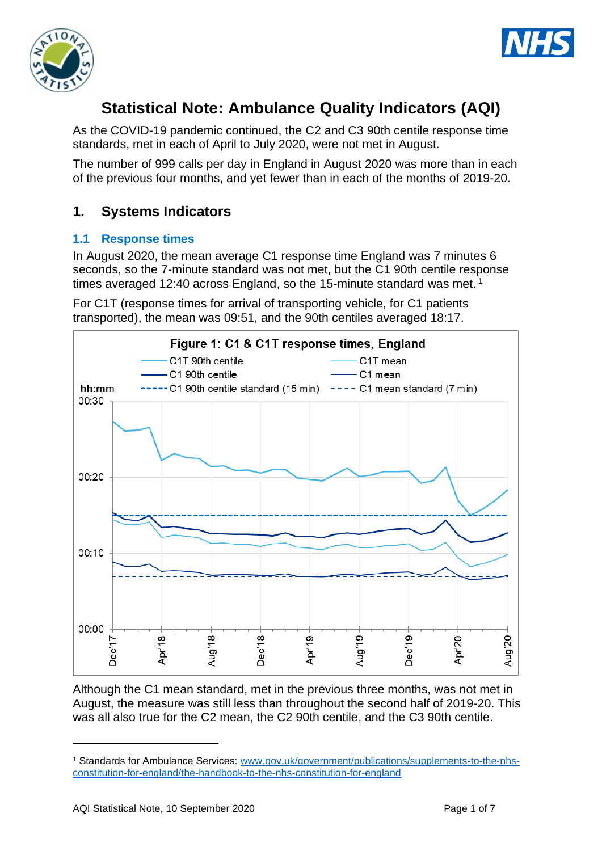



# **Statistical Note: Ambulance Quality Indicators (AQI)**

As the COVID-19 pandemic continued, the C2 and C3 90th centile response time standards, met in each of April to July 2020, were not met in August.

The number of 999 calls per day in England in August 2020 was more than in each of the previous four months, and yet fewer than in each of the months of 2019-20.

## **1. Systems Indicators**

### **1.1 Response times**

In August 2020, the mean average C1 response time England was 7 minutes 6 seconds, so the 7-minute standard was not met, but the C1 90th centile response times averaged 12:40 across England, so the 15-minute standard was met.<sup>1</sup>

For C1T (response times for arrival of transporting vehicle, for C1 patients transported), the mean was 09:51, and the 90th centiles averaged 18:17.



Although the C1 mean standard, met in the previous three months, was not met in August, the measure was still less than throughout the second half of 2019-20. This was all also true for the C2 mean, the C2 90th centile, and the C3 90th centile.

<sup>1</sup> Standards for Ambulance Services: www.gov.uk/government/publications/supplements-to-the-nhsconstitution-for-england/the-handbook-to-the-nhs-constitution-for-england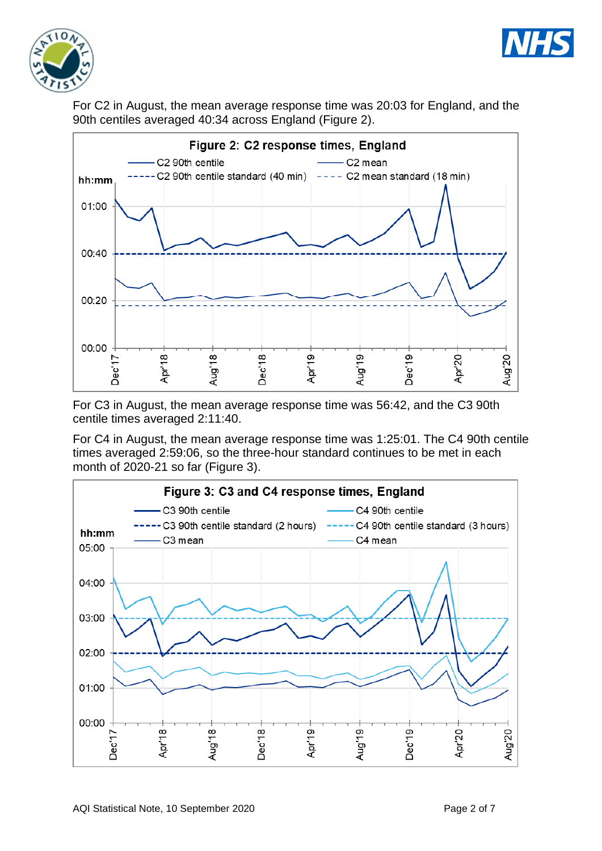



For C2 in August, the mean average response time was 20:03 for England, and the 90th centiles averaged 40:34 across England (Figure 2).



For C3 in August, the mean average response time was 56:42, and the C3 90th centile times averaged 2:11:40.

For C4 in August, the mean average response time was 1:25:01. The C4 90th centile times averaged 2:59:06, so the three-hour standard continues to be met in each month of 2020-21 so far (Figure 3).

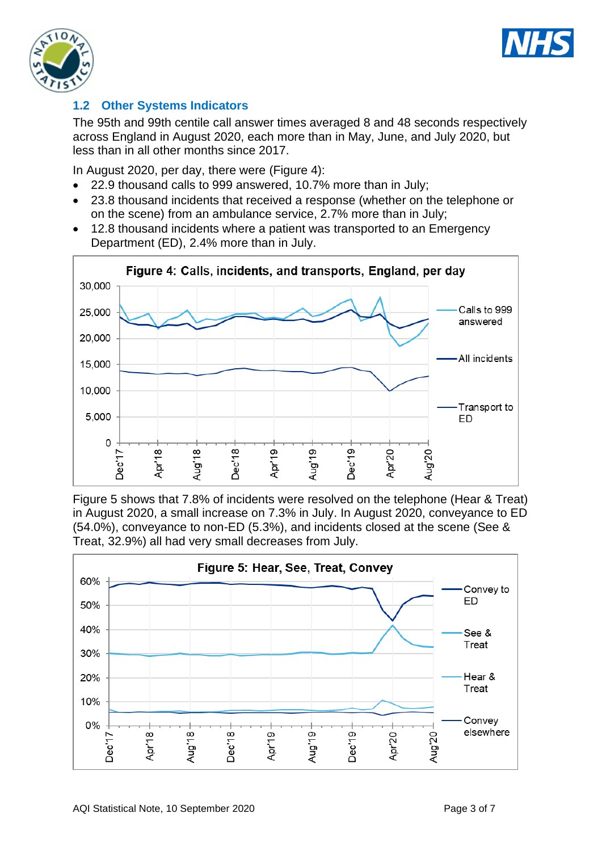



### **1.2 Other Systems Indicators**

The 95th and 99th centile call answer times averaged 8 and 48 seconds respectively across England in August 2020, each more than in May, June, and July 2020, but less than in all other months since 2017.

In August 2020, per day, there were (Figure 4):

- 22.9 thousand calls to 999 answered, 10.7% more than in July;
- 23.8 thousand incidents that received a response (whether on the telephone or on the scene) from an ambulance service, 2.7% more than in July;
- 12.8 thousand incidents where a patient was transported to an Emergency Department (ED), 2.4% more than in July.



Figure 5 shows that 7.8% of incidents were resolved on the telephone (Hear & Treat) in August 2020, a small increase on 7.3% in July. In August 2020, conveyance to ED (54.0%), conveyance to non-ED (5.3%), and incidents closed at the scene (See & Treat, 32.9%) all had very small decreases from July.

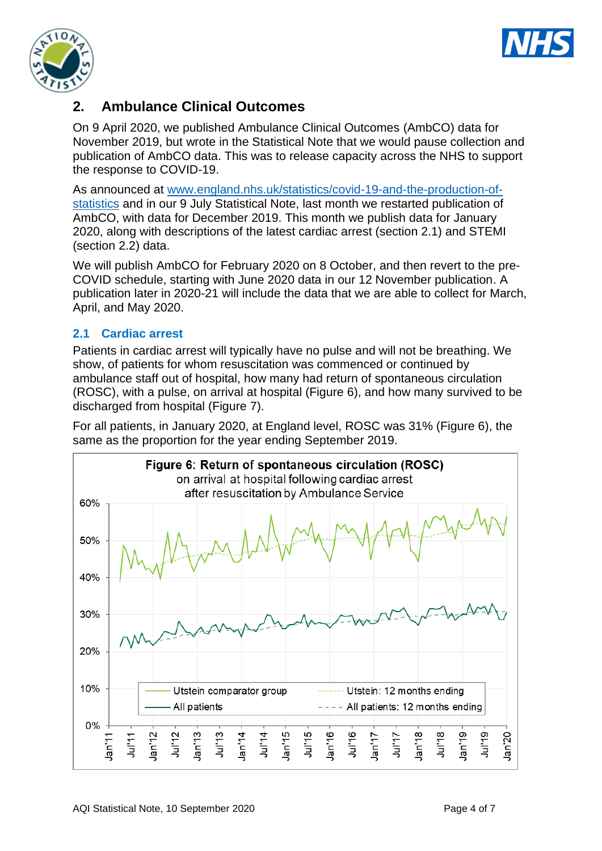



### **2. Ambulance Clinical Outcomes**

On 9 April 2020, we published Ambulance Clinical Outcomes (AmbCO) data for November 2019, but wrote in the Statistical Note that we would pause collection and publication of AmbCO data. This was to release capacity across the NHS to support the response to COVID-19.

As announced at [www.england.nhs.uk/statistics/covid-19-and-the-production-of](https://www.england.nhs.uk/statistics/covid-19-and-the-production-of-statistics/)[statistics](https://www.england.nhs.uk/statistics/covid-19-and-the-production-of-statistics/) and in our 9 July Statistical Note, last month we restarted publication of AmbCO, with data for December 2019. This month we publish data for January 2020, along with descriptions of the latest cardiac arrest (section 2.1) and STEMI (section 2.2) data.

We will publish AmbCO for February 2020 on 8 October, and then revert to the pre-COVID schedule, starting with June 2020 data in our 12 November publication. A publication later in 2020-21 will include the data that we are able to collect for March, April, and May 2020.

### **2.1 Cardiac arrest**

Patients in cardiac arrest will typically have no pulse and will not be breathing. We show, of patients for whom resuscitation was commenced or continued by ambulance staff out of hospital, how many had return of spontaneous circulation (ROSC), with a pulse, on arrival at hospital (Figure 6), and how many survived to be discharged from hospital (Figure 7).

For all patients, in January 2020, at England level, ROSC was 31% (Figure 6), the same as the proportion for the year ending September 2019.

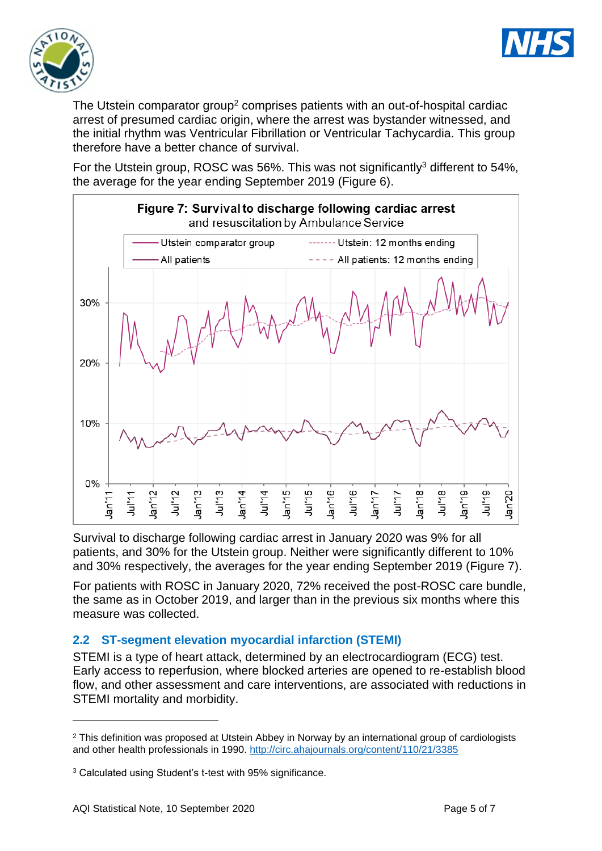



The Utstein comparator group<sup>2</sup> comprises patients with an out-of-hospital cardiac arrest of presumed cardiac origin, where the arrest was bystander witnessed, and the initial rhythm was Ventricular Fibrillation or Ventricular Tachycardia. This group therefore have a better chance of survival.

For the Utstein group, ROSC was 56%. This was not significantly<sup>3</sup> different to 54%, the average for the year ending September 2019 (Figure 6).



Survival to discharge following cardiac arrest in January 2020 was 9% for all patients, and 30% for the Utstein group. Neither were significantly different to 10% and 30% respectively, the averages for the year ending September 2019 (Figure 7).

For patients with ROSC in January 2020, 72% received the post-ROSC care bundle, the same as in October 2019, and larger than in the previous six months where this measure was collected.

### **2.2 ST-segment elevation myocardial infarction (STEMI)**

STEMI is a type of heart attack, determined by an electrocardiogram (ECG) test. Early access to reperfusion, where blocked arteries are opened to re-establish blood flow, and other assessment and care interventions, are associated with reductions in STEMI mortality and morbidity.

<sup>&</sup>lt;sup>2</sup> This definition was proposed at Utstein Abbey in Norway by an international group of cardiologists and other health professionals in 1990.<http://circ.ahajournals.org/content/110/21/3385>

<sup>3</sup> Calculated using Student's t-test with 95% significance.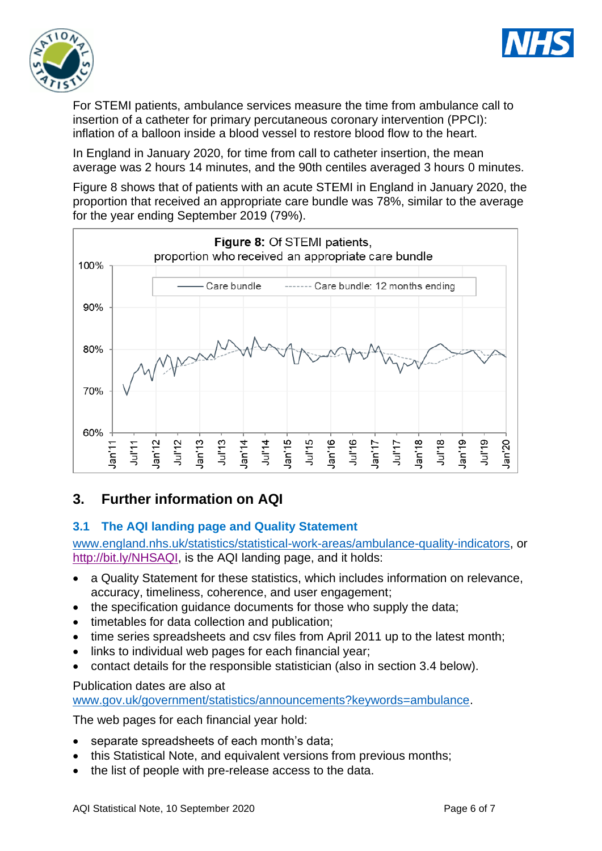



For STEMI patients, ambulance services measure the time from ambulance call to insertion of a catheter for primary percutaneous coronary intervention (PPCI): inflation of a balloon inside a blood vessel to restore blood flow to the heart.

In England in January 2020, for time from call to catheter insertion, the mean average was 2 hours 14 minutes, and the 90th centiles averaged 3 hours 0 minutes.

Figure 8 shows that of patients with an acute STEMI in England in January 2020, the proportion that received an appropriate care bundle was 78%, similar to the average for the year ending September 2019 (79%).



# **3. Further information on AQI**

### **3.1 The AQI landing page and Quality Statement**

[www.england.nhs.uk/statistics/statistical-work-areas/ambulance-quality-indicators,](http://www.england.nhs.uk/statistics/statistical-work-areas/ambulance-quality-indicators) or [http://bit.ly/NHSAQI,](http://bit.ly/NHSAQI) is the AQI landing page, and it holds:

- a Quality Statement for these statistics, which includes information on relevance, accuracy, timeliness, coherence, and user engagement;
- the specification quidance documents for those who supply the data;
- timetables for data collection and publication;
- time series spreadsheets and csv files from April 2011 up to the latest month;
- links to individual web pages for each financial year;
- contact details for the responsible statistician (also in section 3.4 below).

#### Publication dates are also at

[www.gov.uk/government/statistics/announcements?keywords=ambulance.](http://www.gov.uk/government/statistics/announcements?keywords=ambulance)

The web pages for each financial year hold:

- separate spreadsheets of each month's data;
- this Statistical Note, and equivalent versions from previous months;
- the list of people with pre-release access to the data.